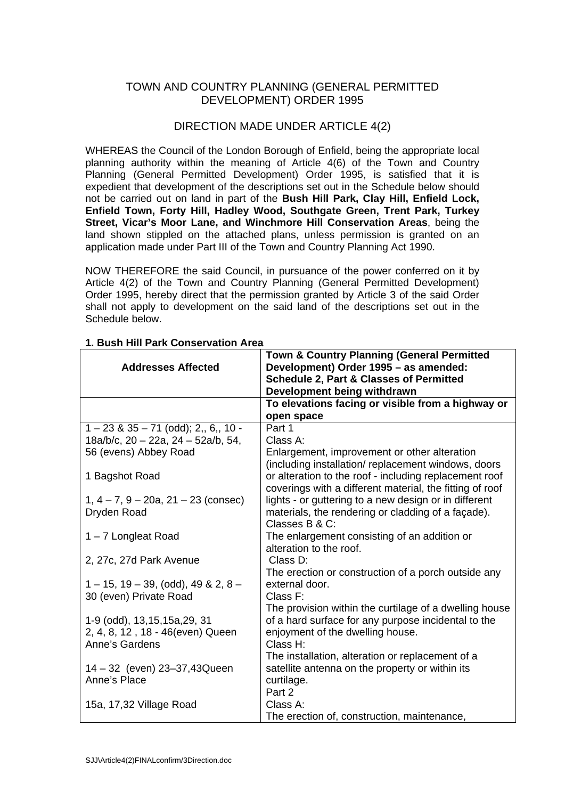## TOWN AND COUNTRY PLANNING (GENERAL PERMITTED DEVELOPMENT) ORDER 1995

# DIRECTION MADE UNDER ARTICLE 4(2)

WHEREAS the Council of the London Borough of Enfield, being the appropriate local planning authority within the meaning of Article 4(6) of the Town and Country Planning (General Permitted Development) Order 1995, is satisfied that it is expedient that development of the descriptions set out in the Schedule below should not be carried out on land in part of the **Bush Hill Park, Clay Hill, Enfield Lock, Enfield Town, Forty Hill, Hadley Wood, Southgate Green, Trent Park, Turkey Street, Vicar's Moor Lane, and Winchmore Hill Conservation Areas**, being the land shown stippled on the attached plans, unless permission is granted on an application made under Part III of the Town and Country Planning Act 1990.

NOW THEREFORE the said Council, in pursuance of the power conferred on it by Article 4(2) of the Town and Country Planning (General Permitted Development) Order 1995, hereby direct that the permission granted by Article 3 of the said Order shall not apply to development on the said land of the descriptions set out in the Schedule below.

| <b>Town &amp; Country Planning (General Permitted</b><br>Development) Order 1995 - as amended:<br><b>Schedule 2, Part &amp; Classes of Permitted</b><br>Development being withdrawn |
|-------------------------------------------------------------------------------------------------------------------------------------------------------------------------------------|
| To elevations facing or visible from a highway or                                                                                                                                   |
| open space                                                                                                                                                                          |
| Part 1                                                                                                                                                                              |
| Class A:                                                                                                                                                                            |
| Enlargement, improvement or other alteration                                                                                                                                        |
| (including installation/replacement windows, doors                                                                                                                                  |
| or alteration to the roof - including replacement roof                                                                                                                              |
| coverings with a different material, the fitting of roof                                                                                                                            |
| lights - or guttering to a new design or in different                                                                                                                               |
| materials, the rendering or cladding of a façade).                                                                                                                                  |
| Classes B & C:                                                                                                                                                                      |
| The enlargement consisting of an addition or                                                                                                                                        |
| alteration to the roof.                                                                                                                                                             |
| Class D:                                                                                                                                                                            |
| The erection or construction of a porch outside any                                                                                                                                 |
| external door.                                                                                                                                                                      |
| Class F:                                                                                                                                                                            |
| The provision within the curtilage of a dwelling house<br>of a hard surface for any purpose incidental to the                                                                       |
| enjoyment of the dwelling house.                                                                                                                                                    |
| Class H:                                                                                                                                                                            |
| The installation, alteration or replacement of a                                                                                                                                    |
| satellite antenna on the property or within its                                                                                                                                     |
| curtilage.                                                                                                                                                                          |
| Part 2                                                                                                                                                                              |
| Class A:                                                                                                                                                                            |
| The erection of, construction, maintenance,                                                                                                                                         |
|                                                                                                                                                                                     |

#### **1. Bush Hill Park Conservation Area**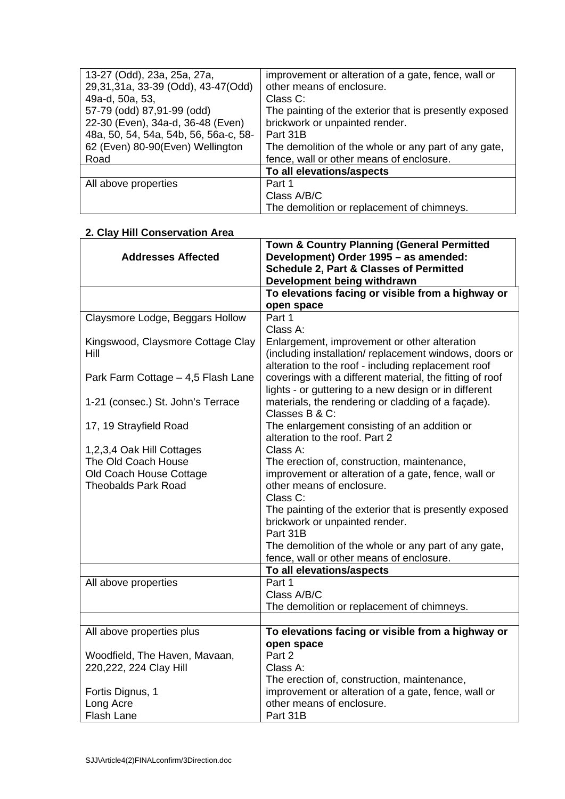| 13-27 (Odd), 23a, 25a, 27a,           | improvement or alteration of a gate, fence, wall or    |
|---------------------------------------|--------------------------------------------------------|
| 29,31,31a, 33-39 (Odd), 43-47(Odd)    | other means of enclosure.                              |
| 49a-d, 50a, 53,                       | Class C:                                               |
| 57-79 (odd) 87,91-99 (odd)            | The painting of the exterior that is presently exposed |
| 22-30 (Even), 34a-d, 36-48 (Even)     | brickwork or unpainted render.                         |
| 48a, 50, 54, 54a, 54b, 56, 56a-c, 58- | Part 31B                                               |
| 62 (Even) 80-90(Even) Wellington      | The demolition of the whole or any part of any gate,   |
| Road                                  | fence, wall or other means of enclosure.               |
|                                       | To all elevations/aspects                              |
| All above properties                  | Part 1                                                 |
|                                       | Class A/B/C                                            |
|                                       | The demolition or replacement of chimneys.             |

## **2. Clay Hill Conservation Area**

|                                    | Town & Country Planning (General Permitted               |
|------------------------------------|----------------------------------------------------------|
| <b>Addresses Affected</b>          | Development) Order 1995 - as amended:                    |
|                                    | <b>Schedule 2, Part &amp; Classes of Permitted</b>       |
|                                    | Development being withdrawn                              |
|                                    | To elevations facing or visible from a highway or        |
|                                    | open space                                               |
| Claysmore Lodge, Beggars Hollow    | Part 1                                                   |
|                                    | Class A:                                                 |
| Kingswood, Claysmore Cottage Clay  | Enlargement, improvement or other alteration             |
| Hill                               | (including installation/replacement windows, doors or    |
|                                    | alteration to the roof - including replacement roof      |
| Park Farm Cottage - 4,5 Flash Lane | coverings with a different material, the fitting of roof |
|                                    | lights - or guttering to a new design or in different    |
| 1-21 (consec.) St. John's Terrace  | materials, the rendering or cladding of a façade).       |
|                                    | Classes B & C:                                           |
| 17, 19 Strayfield Road             | The enlargement consisting of an addition or             |
|                                    | alteration to the roof. Part 2                           |
| 1,2,3,4 Oak Hill Cottages          | Class A:                                                 |
| The Old Coach House                | The erection of, construction, maintenance,              |
| Old Coach House Cottage            | improvement or alteration of a gate, fence, wall or      |
| <b>Theobalds Park Road</b>         | other means of enclosure.                                |
|                                    | Class C:                                                 |
|                                    | The painting of the exterior that is presently exposed   |
|                                    | brickwork or unpainted render.                           |
|                                    | Part 31B                                                 |
|                                    | The demolition of the whole or any part of any gate,     |
|                                    | fence, wall or other means of enclosure.                 |
|                                    | To all elevations/aspects<br>Part 1                      |
| All above properties               | Class A/B/C                                              |
|                                    |                                                          |
|                                    | The demolition or replacement of chimneys.               |
| All above properties plus          | To elevations facing or visible from a highway or        |
|                                    | open space                                               |
| Woodfield, The Haven, Mavaan,      | Part 2                                                   |
| 220, 222, 224 Clay Hill            | Class A:                                                 |
|                                    | The erection of, construction, maintenance,              |
| Fortis Dignus, 1                   | improvement or alteration of a gate, fence, wall or      |
| Long Acre                          | other means of enclosure.                                |
| <b>Flash Lane</b>                  | Part 31B                                                 |
|                                    |                                                          |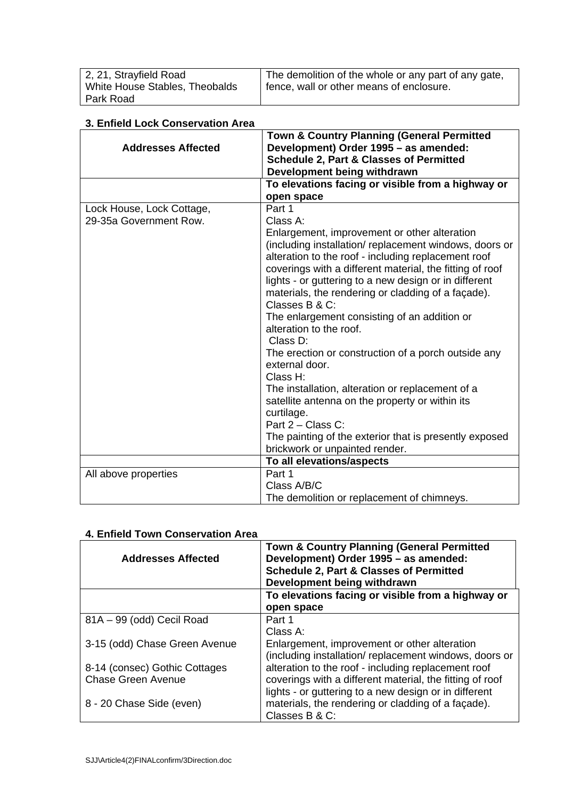| 2, 21, Strayfield Road         | The demolition of the whole or any part of any gate, |
|--------------------------------|------------------------------------------------------|
| White House Stables, Theobalds | fence, wall or other means of enclosure.             |
| Park Road                      |                                                      |

## **3. Enfield Lock Conservation Area**

|                           | <b>Town &amp; Country Planning (General Permitted</b>                            |
|---------------------------|----------------------------------------------------------------------------------|
| <b>Addresses Affected</b> | Development) Order 1995 - as amended:<br>Schedule 2, Part & Classes of Permitted |
|                           | Development being withdrawn                                                      |
|                           | To elevations facing or visible from a highway or                                |
|                           | open space                                                                       |
| Lock House, Lock Cottage, | Part 1                                                                           |
| 29-35a Government Row.    | Class A:                                                                         |
|                           | Enlargement, improvement or other alteration                                     |
|                           | (including installation/replacement windows, doors or                            |
|                           | alteration to the roof - including replacement roof                              |
|                           | coverings with a different material, the fitting of roof                         |
|                           | lights - or guttering to a new design or in different                            |
|                           | materials, the rendering or cladding of a façade).                               |
|                           | Classes B & C:                                                                   |
|                           | The enlargement consisting of an addition or<br>alteration to the roof.          |
|                           | Class D:                                                                         |
|                           | The erection or construction of a porch outside any                              |
|                           | external door.                                                                   |
|                           | Class H:                                                                         |
|                           | The installation, alteration or replacement of a                                 |
|                           | satellite antenna on the property or within its                                  |
|                           | curtilage.                                                                       |
|                           | Part 2 - Class C:                                                                |
|                           | The painting of the exterior that is presently exposed                           |
|                           | brickwork or unpainted render.<br>To all elevations/aspects                      |
| All above properties      | Part 1                                                                           |
|                           | Class A/B/C                                                                      |
|                           | The demolition or replacement of chimneys.                                       |

| <b>Addresses Affected</b>     | <b>Town &amp; Country Planning (General Permitted</b><br>Development) Order 1995 - as amended:<br><b>Schedule 2, Part &amp; Classes of Permitted</b><br>Development being withdrawn |
|-------------------------------|-------------------------------------------------------------------------------------------------------------------------------------------------------------------------------------|
|                               | To elevations facing or visible from a highway or                                                                                                                                   |
|                               | open space                                                                                                                                                                          |
| 81A - 99 (odd) Cecil Road     | Part 1                                                                                                                                                                              |
|                               | Class A:                                                                                                                                                                            |
| 3-15 (odd) Chase Green Avenue | Enlargement, improvement or other alteration<br>(including installation/replacement windows, doors or                                                                               |
| 8-14 (consec) Gothic Cottages | alteration to the roof - including replacement roof                                                                                                                                 |
| <b>Chase Green Avenue</b>     | coverings with a different material, the fitting of roof                                                                                                                            |
| 8 - 20 Chase Side (even)      | lights - or guttering to a new design or in different<br>materials, the rendering or cladding of a façade).<br>Classes B & C:                                                       |

## **4. Enfield Town Conservation Area**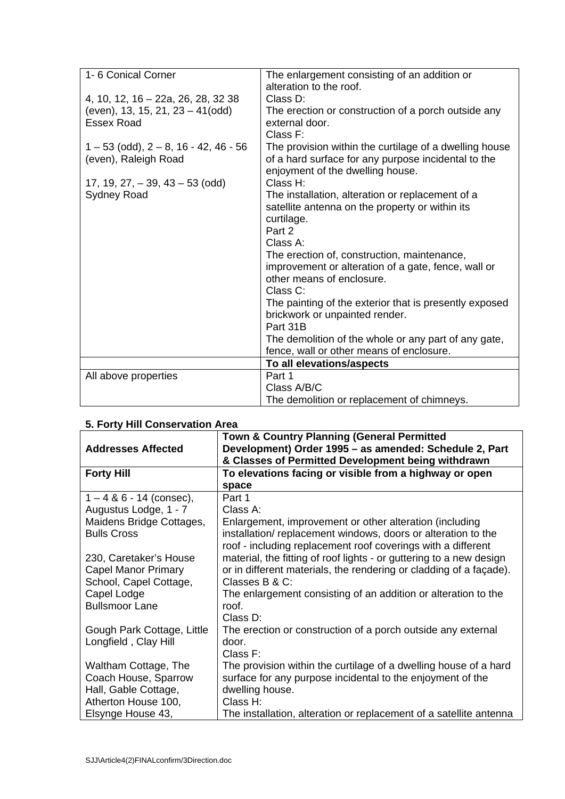| 1-6 Conical Corner                              |                                                        |
|-------------------------------------------------|--------------------------------------------------------|
|                                                 | The enlargement consisting of an addition or           |
|                                                 | alteration to the roof.                                |
| 4, 10, 12, 16 - 22a, 26, 28, 32 38              | Class D:                                               |
| (even), 13, 15, 21, 23 - 41(odd)                | The erection or construction of a porch outside any    |
| <b>Essex Road</b>                               | external door.                                         |
|                                                 | Class F:                                               |
| $1 - 53$ (odd), $2 - 8$ , $16 - 42$ , $46 - 56$ | The provision within the curtilage of a dwelling house |
| (even), Raleigh Road                            | of a hard surface for any purpose incidental to the    |
|                                                 | enjoyment of the dwelling house.                       |
| 17, 19, 27, $-39$ , 43 $-53$ (odd)              | Class H:                                               |
| <b>Sydney Road</b>                              | The installation, alteration or replacement of a       |
|                                                 | satellite antenna on the property or within its        |
|                                                 | curtilage.                                             |
|                                                 | Part 2                                                 |
|                                                 | Class A:                                               |
|                                                 | The erection of, construction, maintenance,            |
|                                                 | improvement or alteration of a gate, fence, wall or    |
|                                                 | other means of enclosure.                              |
|                                                 | Class C:                                               |
|                                                 | The painting of the exterior that is presently exposed |
|                                                 |                                                        |
|                                                 | brickwork or unpainted render.                         |
|                                                 | Part 31B                                               |
|                                                 | The demolition of the whole or any part of any gate,   |
|                                                 | fence, wall or other means of enclosure.               |
|                                                 | To all elevations/aspects                              |
| All above properties                            | Part 1                                                 |
|                                                 | Class A/B/C                                            |
|                                                 | The demolition or replacement of chimneys.             |

|                            | <b>Town &amp; Country Planning (General Permitted</b>               |
|----------------------------|---------------------------------------------------------------------|
| <b>Addresses Affected</b>  | Development) Order 1995 - as amended: Schedule 2, Part              |
|                            | & Classes of Permitted Development being withdrawn                  |
| <b>Forty Hill</b>          | To elevations facing or visible from a highway or open              |
|                            | space                                                               |
| $1 - 4 & 6 - 14$ (consec), | Part 1                                                              |
| Augustus Lodge, 1 - 7      | Class A:                                                            |
| Maidens Bridge Cottages,   | Enlargement, improvement or other alteration (including             |
| <b>Bulls Cross</b>         | installation/replacement windows, doors or alteration to the        |
|                            | roof - including replacement roof coverings with a different        |
| 230, Caretaker's House     | material, the fitting of roof lights - or guttering to a new design |
| <b>Capel Manor Primary</b> | or in different materials, the rendering or cladding of a façade).  |
| School, Capel Cottage,     | Classes B & C:                                                      |
| Capel Lodge                | The enlargement consisting of an addition or alteration to the      |
| <b>Bullsmoor Lane</b>      | roof.                                                               |
|                            | Class D:                                                            |
| Gough Park Cottage, Little | The erection or construction of a porch outside any external        |
| Longfield, Clay Hill       | door.                                                               |
|                            | Class F:                                                            |
| Waltham Cottage, The       | The provision within the curtilage of a dwelling house of a hard    |
| Coach House, Sparrow       | surface for any purpose incidental to the enjoyment of the          |
| Hall, Gable Cottage,       | dwelling house.                                                     |
| Atherton House 100,        | Class H:                                                            |
| Elsynge House 43,          | The installation, alteration or replacement of a satellite antenna  |

# **5. Forty Hill Conservation Area**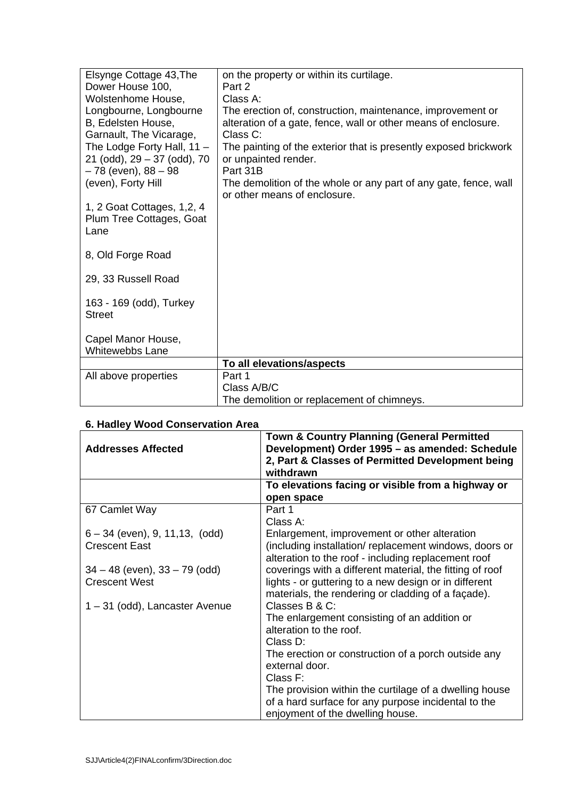| Elsynge Cottage 43, The                                                 | on the property or within its curtilage.                                                                                                 |
|-------------------------------------------------------------------------|------------------------------------------------------------------------------------------------------------------------------------------|
| Dower House 100,                                                        | Part 2                                                                                                                                   |
| Wolstenhome House,                                                      | Class A:                                                                                                                                 |
| Longbourne, Longbourne<br>B, Edelsten House,<br>Garnault, The Vicarage, | The erection of, construction, maintenance, improvement or<br>alteration of a gate, fence, wall or other means of enclosure.<br>Class C: |
| The Lodge Forty Hall, $11 -$<br>21 (odd), 29 - 37 (odd), 70             | The painting of the exterior that is presently exposed brickwork<br>or unpainted render.                                                 |
| - 78 (even), 88 - 98                                                    | Part 31B                                                                                                                                 |
| (even), Forty Hill                                                      | The demolition of the whole or any part of any gate, fence, wall<br>or other means of enclosure.                                         |
| 1, 2 Goat Cottages, 1, 2, 4                                             |                                                                                                                                          |
|                                                                         |                                                                                                                                          |
| Plum Tree Cottages, Goat                                                |                                                                                                                                          |
| Lane                                                                    |                                                                                                                                          |
| 8, Old Forge Road                                                       |                                                                                                                                          |
|                                                                         |                                                                                                                                          |
| 29, 33 Russell Road                                                     |                                                                                                                                          |
|                                                                         |                                                                                                                                          |
| 163 - 169 (odd), Turkey                                                 |                                                                                                                                          |
| <b>Street</b>                                                           |                                                                                                                                          |
|                                                                         |                                                                                                                                          |
| Capel Manor House,                                                      |                                                                                                                                          |
| <b>Whitewebbs Lane</b>                                                  |                                                                                                                                          |
|                                                                         | To all elevations/aspects                                                                                                                |
| All above properties                                                    | Part 1                                                                                                                                   |
|                                                                         | Class A/B/C                                                                                                                              |
|                                                                         | The demolition or replacement of chimneys.                                                                                               |

| <b>Addresses Affected</b>         | <b>Town &amp; Country Planning (General Permitted</b><br>Development) Order 1995 - as amended: Schedule<br>2, Part & Classes of Permitted Development being<br>withdrawn |
|-----------------------------------|--------------------------------------------------------------------------------------------------------------------------------------------------------------------------|
|                                   | To elevations facing or visible from a highway or                                                                                                                        |
|                                   | open space                                                                                                                                                               |
| 67 Camlet Way                     | Part 1                                                                                                                                                                   |
|                                   | Class A:                                                                                                                                                                 |
| $6 - 34$ (even), 9, 11, 13, (odd) | Enlargement, improvement or other alteration                                                                                                                             |
| <b>Crescent East</b>              | (including installation/replacement windows, doors or<br>alteration to the roof - including replacement roof                                                             |
| $34 - 48$ (even), $33 - 79$ (odd) | coverings with a different material, the fitting of roof                                                                                                                 |
| <b>Crescent West</b>              | lights - or guttering to a new design or in different<br>materials, the rendering or cladding of a facade).                                                              |
| 1 – 31 (odd), Lancaster Avenue    | Classes B & C:                                                                                                                                                           |
|                                   | The enlargement consisting of an addition or                                                                                                                             |
|                                   | alteration to the roof.                                                                                                                                                  |
|                                   | Class D:                                                                                                                                                                 |
|                                   | The erection or construction of a porch outside any<br>external door.                                                                                                    |
|                                   | Class F:                                                                                                                                                                 |
|                                   | The provision within the curtilage of a dwelling house<br>of a hard surface for any purpose incidental to the<br>enjoyment of the dwelling house.                        |

# **6. Hadley Wood Conservation Area**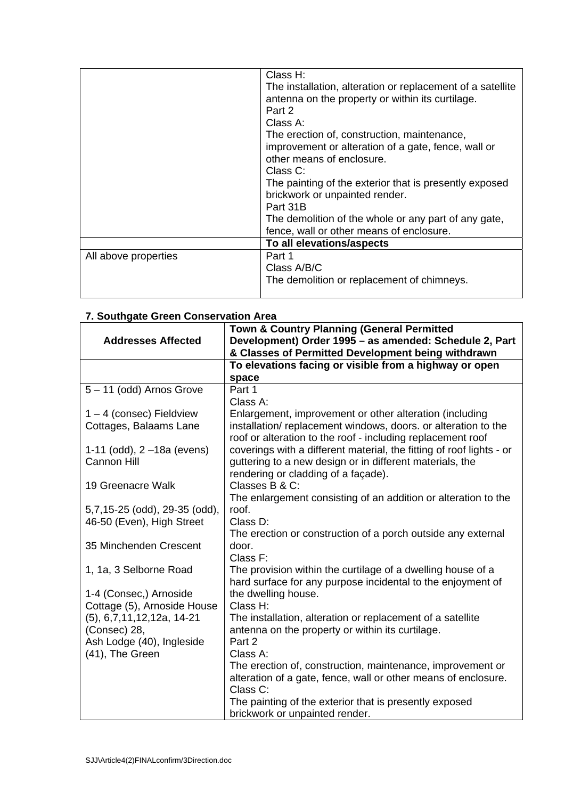|                      | Class H:                                                   |
|----------------------|------------------------------------------------------------|
|                      | The installation, alteration or replacement of a satellite |
|                      | antenna on the property or within its curtilage.           |
|                      | Part 2                                                     |
|                      | Class A:                                                   |
|                      | The erection of, construction, maintenance,                |
|                      | improvement or alteration of a gate, fence, wall or        |
|                      | other means of enclosure.                                  |
|                      | Class C:                                                   |
|                      | The painting of the exterior that is presently exposed     |
|                      | brickwork or unpainted render.                             |
|                      | Part 31B                                                   |
|                      | The demolition of the whole or any part of any gate,       |
|                      | fence, wall or other means of enclosure.                   |
|                      | To all elevations/aspects                                  |
| All above properties | Part 1                                                     |
|                      | Class A/B/C                                                |
|                      | The demolition or replacement of chimneys.                 |
|                      |                                                            |

| ooaangalo oroon oonoor raaon Aroa | Town & Country Planning (General Permitted                           |
|-----------------------------------|----------------------------------------------------------------------|
| <b>Addresses Affected</b>         | Development) Order 1995 - as amended: Schedule 2, Part               |
|                                   | & Classes of Permitted Development being withdrawn                   |
|                                   |                                                                      |
|                                   | To elevations facing or visible from a highway or open               |
|                                   | space                                                                |
| 5-11 (odd) Arnos Grove            | Part 1                                                               |
|                                   | Class A:                                                             |
| $1 - 4$ (consec) Fieldview        | Enlargement, improvement or other alteration (including              |
| Cottages, Balaams Lane            | installation/replacement windows, doors. or alteration to the        |
|                                   | roof or alteration to the roof - including replacement roof          |
| 1-11 (odd), 2-18a (evens)         | coverings with a different material, the fitting of roof lights - or |
| <b>Cannon Hill</b>                | guttering to a new design or in different materials, the             |
|                                   | rendering or cladding of a façade).                                  |
| 19 Greenacre Walk                 | Classes B & C:                                                       |
|                                   | The enlargement consisting of an addition or alteration to the       |
| 5,7,15-25 (odd), 29-35 (odd),     | roof.                                                                |
| 46-50 (Even), High Street         | Class D:                                                             |
|                                   | The erection or construction of a porch outside any external         |
| 35 Minchenden Crescent            | door.                                                                |
|                                   | Class F:                                                             |
| 1, 1a, 3 Selborne Road            | The provision within the curtilage of a dwelling house of a          |
|                                   | hard surface for any purpose incidental to the enjoyment of          |
| 1-4 (Consec,) Arnoside            | the dwelling house.                                                  |
| Cottage (5), Arnoside House       | Class H:                                                             |
| $(5), 6, 7, 11, 12, 12a, 14-21$   | The installation, alteration or replacement of a satellite           |
| (Consec) 28,                      | antenna on the property or within its curtilage.                     |
| Ash Lodge (40), Ingleside         | Part 2                                                               |
|                                   | Class A:                                                             |
| (41), The Green                   |                                                                      |
|                                   | The erection of, construction, maintenance, improvement or           |
|                                   | alteration of a gate, fence, wall or other means of enclosure.       |
|                                   | Class C:                                                             |
|                                   | The painting of the exterior that is presently exposed               |
|                                   | brickwork or unpainted render.                                       |

#### **7. Southgate Green Conservation Area**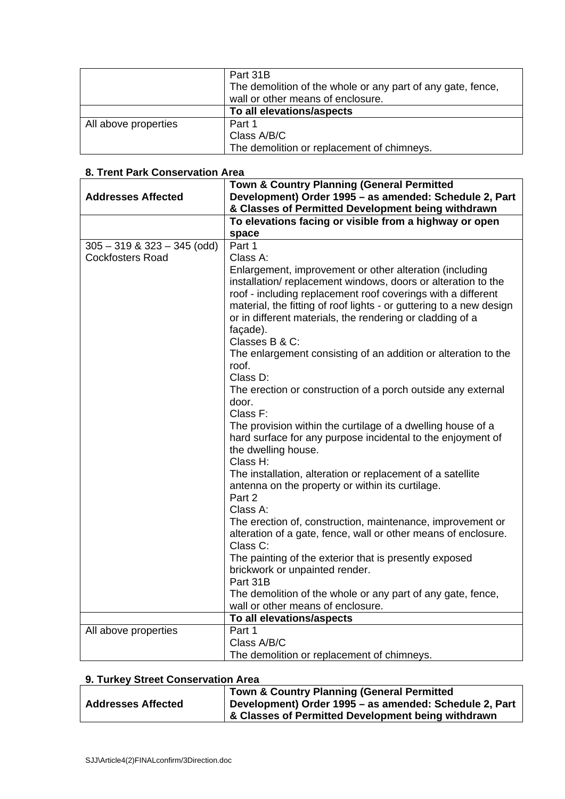|                      | Part 31B                                                    |
|----------------------|-------------------------------------------------------------|
|                      | The demolition of the whole or any part of any gate, fence, |
|                      | wall or other means of enclosure.                           |
|                      | To all elevations/aspects                                   |
| All above properties | Part 1                                                      |
|                      | Class A/B/C                                                 |
|                      | The demolition or replacement of chimneys.                  |

|                                 | Town & Country Planning (General Permitted                                                                                                                                                                                                                                                                                                                                                                                                                                                                                                                                                                                                                                                                                                                                                                               |  |
|---------------------------------|--------------------------------------------------------------------------------------------------------------------------------------------------------------------------------------------------------------------------------------------------------------------------------------------------------------------------------------------------------------------------------------------------------------------------------------------------------------------------------------------------------------------------------------------------------------------------------------------------------------------------------------------------------------------------------------------------------------------------------------------------------------------------------------------------------------------------|--|
| <b>Addresses Affected</b>       | Development) Order 1995 - as amended: Schedule 2, Part                                                                                                                                                                                                                                                                                                                                                                                                                                                                                                                                                                                                                                                                                                                                                                   |  |
|                                 | & Classes of Permitted Development being withdrawn                                                                                                                                                                                                                                                                                                                                                                                                                                                                                                                                                                                                                                                                                                                                                                       |  |
|                                 | To elevations facing or visible from a highway or open                                                                                                                                                                                                                                                                                                                                                                                                                                                                                                                                                                                                                                                                                                                                                                   |  |
|                                 | space                                                                                                                                                                                                                                                                                                                                                                                                                                                                                                                                                                                                                                                                                                                                                                                                                    |  |
| $305 - 319$ & $323 - 345$ (odd) | Part 1                                                                                                                                                                                                                                                                                                                                                                                                                                                                                                                                                                                                                                                                                                                                                                                                                   |  |
| <b>Cockfosters Road</b>         | Class A:                                                                                                                                                                                                                                                                                                                                                                                                                                                                                                                                                                                                                                                                                                                                                                                                                 |  |
|                                 | Enlargement, improvement or other alteration (including<br>installation/replacement windows, doors or alteration to the<br>roof - including replacement roof coverings with a different<br>material, the fitting of roof lights - or guttering to a new design<br>or in different materials, the rendering or cladding of a<br>façade).<br>Classes B & C:<br>The enlargement consisting of an addition or alteration to the<br>roof.<br>Class D:<br>The erection or construction of a porch outside any external<br>door.<br>Class F:<br>The provision within the curtilage of a dwelling house of a<br>hard surface for any purpose incidental to the enjoyment of<br>the dwelling house.<br>Class H:<br>The installation, alteration or replacement of a satellite<br>antenna on the property or within its curtilage. |  |
|                                 | Part 2<br>Class A:<br>The erection of, construction, maintenance, improvement or                                                                                                                                                                                                                                                                                                                                                                                                                                                                                                                                                                                                                                                                                                                                         |  |
|                                 | alteration of a gate, fence, wall or other means of enclosure.<br>Class C:                                                                                                                                                                                                                                                                                                                                                                                                                                                                                                                                                                                                                                                                                                                                               |  |
|                                 | The painting of the exterior that is presently exposed                                                                                                                                                                                                                                                                                                                                                                                                                                                                                                                                                                                                                                                                                                                                                                   |  |
|                                 | brickwork or unpainted render.                                                                                                                                                                                                                                                                                                                                                                                                                                                                                                                                                                                                                                                                                                                                                                                           |  |
|                                 | Part 31B                                                                                                                                                                                                                                                                                                                                                                                                                                                                                                                                                                                                                                                                                                                                                                                                                 |  |
|                                 | The demolition of the whole or any part of any gate, fence,                                                                                                                                                                                                                                                                                                                                                                                                                                                                                                                                                                                                                                                                                                                                                              |  |
|                                 | wall or other means of enclosure.                                                                                                                                                                                                                                                                                                                                                                                                                                                                                                                                                                                                                                                                                                                                                                                        |  |
|                                 | To all elevations/aspects                                                                                                                                                                                                                                                                                                                                                                                                                                                                                                                                                                                                                                                                                                                                                                                                |  |
| All above properties            | Part 1                                                                                                                                                                                                                                                                                                                                                                                                                                                                                                                                                                                                                                                                                                                                                                                                                   |  |
|                                 | Class A/B/C                                                                                                                                                                                                                                                                                                                                                                                                                                                                                                                                                                                                                                                                                                                                                                                                              |  |
|                                 | The demolition or replacement of chimneys.                                                                                                                                                                                                                                                                                                                                                                                                                                                                                                                                                                                                                                                                                                                                                                               |  |

## **8. Trent Park Conservation Area**

| 9. Turkey Street Conservation Area |
|------------------------------------|
|------------------------------------|

| <b>Town &amp; Country Planning (General Permitted</b><br>Development) Order 1995 – as amended: Schedule 2, Part<br><b>Addresses Affected</b><br><b>&amp; Classes of Permitted Development being withdrawn</b> |  |  |
|---------------------------------------------------------------------------------------------------------------------------------------------------------------------------------------------------------------|--|--|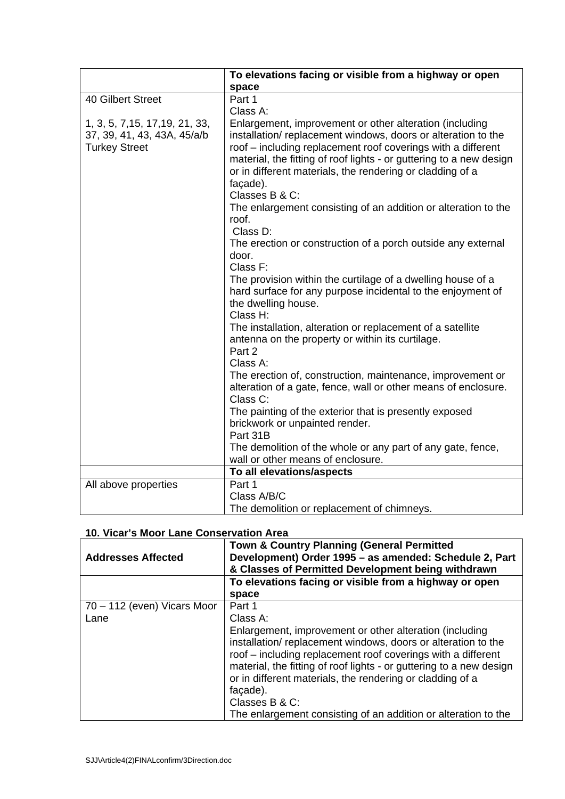|                                                                                        | To elevations facing or visible from a highway or open                                                                                                                                                                                                                                                                                                                                                                                                                                                           |
|----------------------------------------------------------------------------------------|------------------------------------------------------------------------------------------------------------------------------------------------------------------------------------------------------------------------------------------------------------------------------------------------------------------------------------------------------------------------------------------------------------------------------------------------------------------------------------------------------------------|
|                                                                                        | space                                                                                                                                                                                                                                                                                                                                                                                                                                                                                                            |
| <b>40 Gilbert Street</b>                                                               | Part 1                                                                                                                                                                                                                                                                                                                                                                                                                                                                                                           |
|                                                                                        | Class A:                                                                                                                                                                                                                                                                                                                                                                                                                                                                                                         |
| 1, 3, 5, 7, 15, 17, 19, 21, 33,<br>37, 39, 41, 43, 43A, 45/a/b<br><b>Turkey Street</b> | Enlargement, improvement or other alteration (including<br>installation/replacement windows, doors or alteration to the<br>roof - including replacement roof coverings with a different<br>material, the fitting of roof lights - or guttering to a new design<br>or in different materials, the rendering or cladding of a<br>façade).<br>Classes B & C:<br>The enlargement consisting of an addition or alteration to the<br>roof.<br>Class D:<br>The erection or construction of a porch outside any external |
|                                                                                        | door.<br>Class F:<br>The provision within the curtilage of a dwelling house of a<br>hard surface for any purpose incidental to the enjoyment of<br>the dwelling house.<br>Class H:                                                                                                                                                                                                                                                                                                                               |
|                                                                                        | The installation, alteration or replacement of a satellite<br>antenna on the property or within its curtilage.<br>Part 2<br>Class A:                                                                                                                                                                                                                                                                                                                                                                             |
|                                                                                        | The erection of, construction, maintenance, improvement or<br>alteration of a gate, fence, wall or other means of enclosure.<br>Class C:                                                                                                                                                                                                                                                                                                                                                                         |
|                                                                                        | The painting of the exterior that is presently exposed<br>brickwork or unpainted render.<br>Part 31B                                                                                                                                                                                                                                                                                                                                                                                                             |
|                                                                                        | The demolition of the whole or any part of any gate, fence,<br>wall or other means of enclosure.                                                                                                                                                                                                                                                                                                                                                                                                                 |
|                                                                                        | To all elevations/aspects                                                                                                                                                                                                                                                                                                                                                                                                                                                                                        |
| All above properties                                                                   | Part 1<br>Class A/B/C                                                                                                                                                                                                                                                                                                                                                                                                                                                                                            |
|                                                                                        | The demolition or replacement of chimneys.                                                                                                                                                                                                                                                                                                                                                                                                                                                                       |

| <b>Addresses Affected</b>           | <b>Town &amp; Country Planning (General Permitted</b><br>Development) Order 1995 - as amended: Schedule 2, Part<br>& Classes of Permitted Development being withdrawn<br>To elevations facing or visible from a highway or open                                                                                                                                                                                                                   |
|-------------------------------------|---------------------------------------------------------------------------------------------------------------------------------------------------------------------------------------------------------------------------------------------------------------------------------------------------------------------------------------------------------------------------------------------------------------------------------------------------|
|                                     | space                                                                                                                                                                                                                                                                                                                                                                                                                                             |
| 70 – 112 (even) Vicars Moor<br>Lane | Part 1<br>Class A:<br>Enlargement, improvement or other alteration (including<br>installation/replacement windows, doors or alteration to the<br>roof – including replacement roof coverings with a different<br>material, the fitting of roof lights - or guttering to a new design<br>or in different materials, the rendering or cladding of a<br>façade).<br>Classes B & C:<br>The enlargement consisting of an addition or alteration to the |

# **10. Vicar's Moor Lane Conservation Area**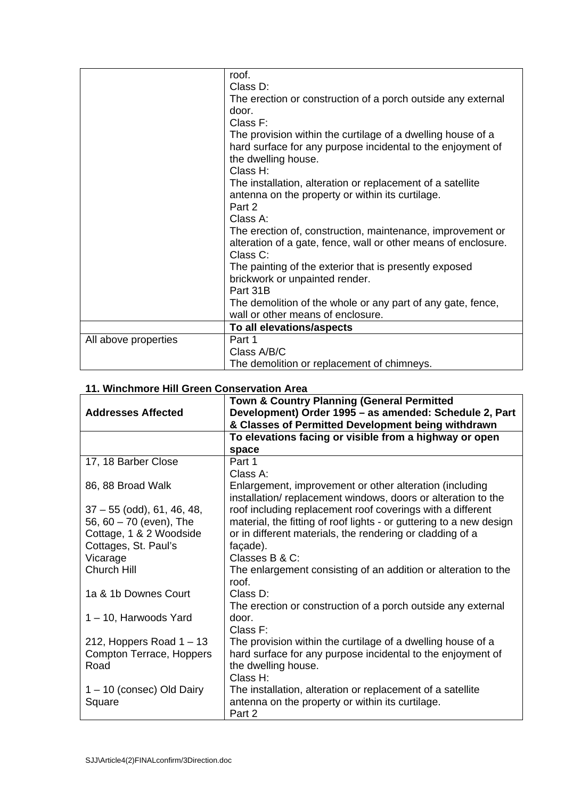|                      | roof.                                                          |
|----------------------|----------------------------------------------------------------|
|                      | Class D:                                                       |
|                      | The erection or construction of a porch outside any external   |
|                      | door.                                                          |
|                      | Class F:                                                       |
|                      | The provision within the curtilage of a dwelling house of a    |
|                      | hard surface for any purpose incidental to the enjoyment of    |
|                      | the dwelling house.                                            |
|                      | Class H:                                                       |
|                      | The installation, alteration or replacement of a satellite     |
|                      | antenna on the property or within its curtilage.               |
|                      | Part 2                                                         |
|                      | Class A:                                                       |
|                      | The erection of, construction, maintenance, improvement or     |
|                      | alteration of a gate, fence, wall or other means of enclosure. |
|                      | Class C:                                                       |
|                      | The painting of the exterior that is presently exposed         |
|                      | brickwork or unpainted render.                                 |
|                      | Part 31B                                                       |
|                      | The demolition of the whole or any part of any gate, fence,    |
|                      | wall or other means of enclosure.                              |
|                      |                                                                |
|                      | To all elevations/aspects                                      |
| All above properties | Part 1                                                         |
|                      | Class A/B/C                                                    |
|                      | The demolition or replacement of chimneys.                     |

|  |  |  |  | 11. Winchmore Hill Green Conservation Area |  |
|--|--|--|--|--------------------------------------------|--|
|--|--|--|--|--------------------------------------------|--|

| TT. WINCHING E FIIII GIEEN GONSEI VANON ATEA | <b>Town &amp; Country Planning (General Permitted</b>               |
|----------------------------------------------|---------------------------------------------------------------------|
| <b>Addresses Affected</b>                    | Development) Order 1995 - as amended: Schedule 2, Part              |
|                                              | & Classes of Permitted Development being withdrawn                  |
|                                              | To elevations facing or visible from a highway or open              |
|                                              | space                                                               |
| 17, 18 Barber Close                          | Part 1                                                              |
|                                              | Class A:                                                            |
| 86, 88 Broad Walk                            | Enlargement, improvement or other alteration (including             |
|                                              | installation/replacement windows, doors or alteration to the        |
| $37 - 55$ (odd), 61, 46, 48,                 | roof including replacement roof coverings with a different          |
| 56, 60 - 70 (even), The                      | material, the fitting of roof lights - or guttering to a new design |
| Cottage, 1 & 2 Woodside                      | or in different materials, the rendering or cladding of a           |
| Cottages, St. Paul's                         | façade).                                                            |
| Vicarage                                     | Classes B & C:                                                      |
| Church Hill                                  | The enlargement consisting of an addition or alteration to the      |
|                                              | roof.                                                               |
| 1a & 1b Downes Court                         | Class D:                                                            |
|                                              | The erection or construction of a porch outside any external        |
| 1-10, Harwoods Yard                          | door.                                                               |
|                                              | Class $F$ :                                                         |
| 212, Hoppers Road $1 - 13$                   | The provision within the curtilage of a dwelling house of a         |
| Compton Terrace, Hoppers                     | hard surface for any purpose incidental to the enjoyment of         |
| Road                                         | the dwelling house.                                                 |
|                                              | Class H:                                                            |
| 1-10 (consec) Old Dairy                      | The installation, alteration or replacement of a satellite          |
| Square                                       | antenna on the property or within its curtilage.                    |
|                                              | Part 2                                                              |